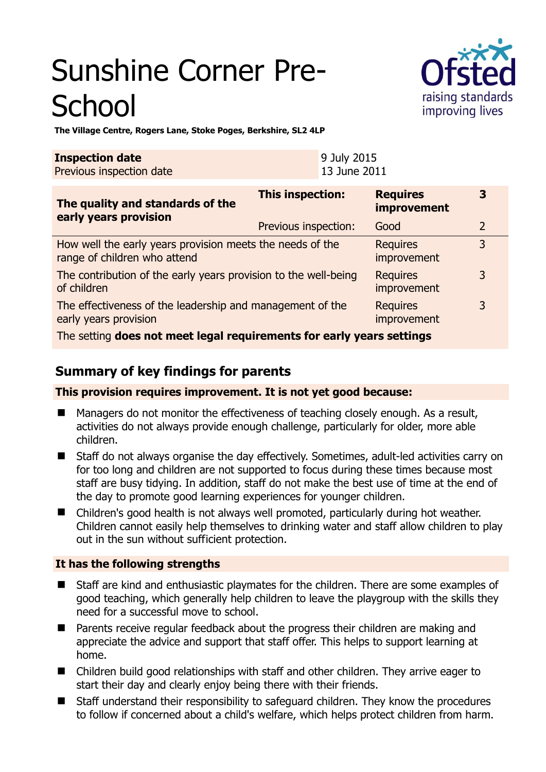# Sunshine Corner Pre-**School**



**The Village Centre, Rogers Lane, Stoke Poges, Berkshire, SL2 4LP** 

| <b>Inspection date</b>   | 9 July 2015         |
|--------------------------|---------------------|
| Previous inspection date | <b>13 June 2011</b> |

| The quality and standards of the<br>early years provision                                 | <b>This inspection:</b> | <b>Requires</b><br>improvement | 3              |
|-------------------------------------------------------------------------------------------|-------------------------|--------------------------------|----------------|
|                                                                                           | Previous inspection:    | Good                           | $\overline{2}$ |
| How well the early years provision meets the needs of the<br>range of children who attend |                         | <b>Requires</b><br>improvement | 3              |
| The contribution of the early years provision to the well-being<br>of children            |                         | <b>Requires</b><br>improvement | 3              |
| The effectiveness of the leadership and management of the<br>early years provision        |                         | <b>Requires</b><br>improvement | 3              |
| The setting does not meet legal requirements for early years settings                     |                         |                                |                |

# **Summary of key findings for parents**

**This provision requires improvement. It is not yet good because:** 

- Managers do not monitor the effectiveness of teaching closely enough. As a result, activities do not always provide enough challenge, particularly for older, more able children.
- Staff do not always organise the day effectively. Sometimes, adult-led activities carry on for too long and children are not supported to focus during these times because most staff are busy tidying. In addition, staff do not make the best use of time at the end of the day to promote good learning experiences for younger children.
- Children's good health is not always well promoted, particularly during hot weather. Children cannot easily help themselves to drinking water and staff allow children to play out in the sun without sufficient protection.

## **It has the following strengths**

- Staff are kind and enthusiastic playmates for the children. There are some examples of good teaching, which generally help children to leave the playgroup with the skills they need for a successful move to school.
- Parents receive regular feedback about the progress their children are making and appreciate the advice and support that staff offer. This helps to support learning at home.
- Children build good relationships with staff and other children. They arrive eager to start their day and clearly enjoy being there with their friends.
- Staff understand their responsibility to safeguard children. They know the procedures to follow if concerned about a child's welfare, which helps protect children from harm.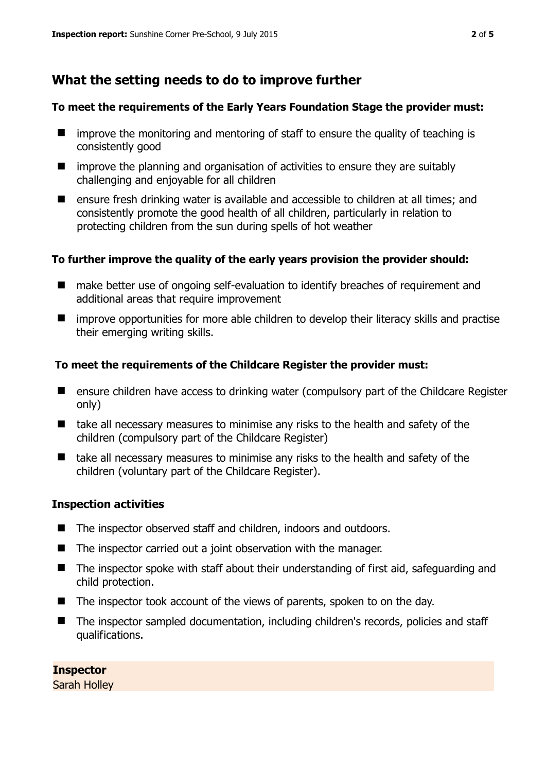# **What the setting needs to do to improve further**

#### **To meet the requirements of the Early Years Foundation Stage the provider must:**

- $\blacksquare$  improve the monitoring and mentoring of staff to ensure the quality of teaching is consistently good
- $\blacksquare$  improve the planning and organisation of activities to ensure they are suitably challenging and enjoyable for all children
- ensure fresh drinking water is available and accessible to children at all times; and consistently promote the good health of all children, particularly in relation to protecting children from the sun during spells of hot weather

#### **To further improve the quality of the early years provision the provider should:**

- make better use of ongoing self-evaluation to identify breaches of requirement and additional areas that require improvement
- $\blacksquare$  improve opportunities for more able children to develop their literacy skills and practise their emerging writing skills.

#### **To meet the requirements of the Childcare Register the provider must:**

- **E** ensure children have access to drinking water (compulsory part of the Childcare Register only)
- take all necessary measures to minimise any risks to the health and safety of the children (compulsory part of the Childcare Register)
- take all necessary measures to minimise any risks to the health and safety of the children (voluntary part of the Childcare Register).

#### **Inspection activities**

- The inspector observed staff and children, indoors and outdoors.
- The inspector carried out a joint observation with the manager.
- The inspector spoke with staff about their understanding of first aid, safeguarding and child protection.
- $\blacksquare$  The inspector took account of the views of parents, spoken to on the day.
- The inspector sampled documentation, including children's records, policies and staff qualifications.

**Inspector**  Sarah Holley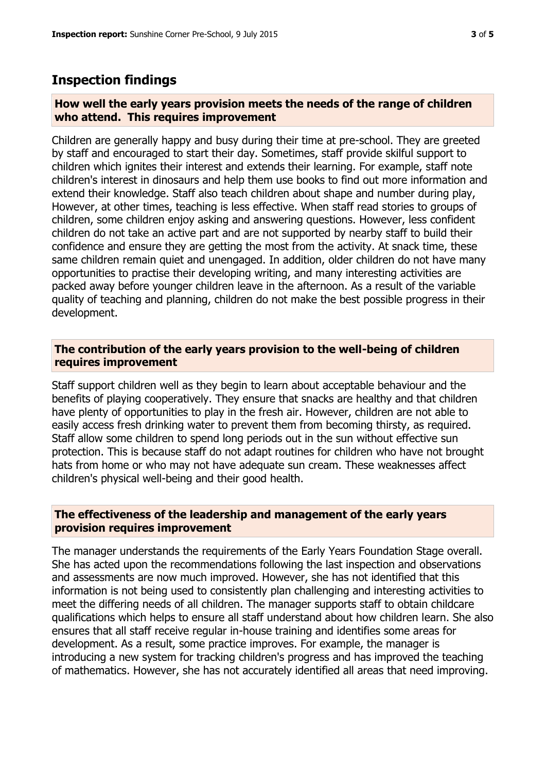### **Inspection findings**

#### **How well the early years provision meets the needs of the range of children who attend. This requires improvement**

Children are generally happy and busy during their time at pre-school. They are greeted by staff and encouraged to start their day. Sometimes, staff provide skilful support to children which ignites their interest and extends their learning. For example, staff note children's interest in dinosaurs and help them use books to find out more information and extend their knowledge. Staff also teach children about shape and number during play, However, at other times, teaching is less effective. When staff read stories to groups of children, some children enjoy asking and answering questions. However, less confident children do not take an active part and are not supported by nearby staff to build their confidence and ensure they are getting the most from the activity. At snack time, these same children remain quiet and unengaged. In addition, older children do not have many opportunities to practise their developing writing, and many interesting activities are packed away before younger children leave in the afternoon. As a result of the variable quality of teaching and planning, children do not make the best possible progress in their development.

#### **The contribution of the early years provision to the well-being of children requires improvement**

Staff support children well as they begin to learn about acceptable behaviour and the benefits of playing cooperatively. They ensure that snacks are healthy and that children have plenty of opportunities to play in the fresh air. However, children are not able to easily access fresh drinking water to prevent them from becoming thirsty, as required. Staff allow some children to spend long periods out in the sun without effective sun protection. This is because staff do not adapt routines for children who have not brought hats from home or who may not have adequate sun cream. These weaknesses affect children's physical well-being and their good health.

#### **The effectiveness of the leadership and management of the early years provision requires improvement**

The manager understands the requirements of the Early Years Foundation Stage overall. She has acted upon the recommendations following the last inspection and observations and assessments are now much improved. However, she has not identified that this information is not being used to consistently plan challenging and interesting activities to meet the differing needs of all children. The manager supports staff to obtain childcare qualifications which helps to ensure all staff understand about how children learn. She also ensures that all staff receive regular in-house training and identifies some areas for development. As a result, some practice improves. For example, the manager is introducing a new system for tracking children's progress and has improved the teaching of mathematics. However, she has not accurately identified all areas that need improving.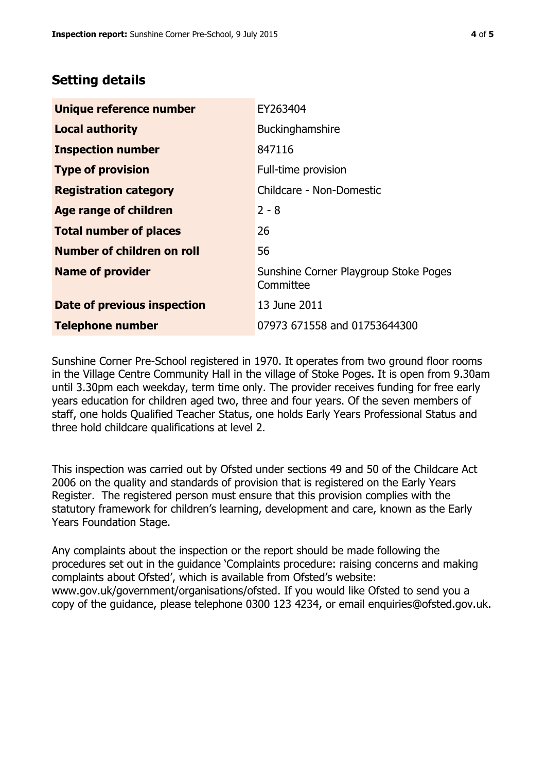## **Setting details**

| Unique reference number       | EY263404                                           |
|-------------------------------|----------------------------------------------------|
| <b>Local authority</b>        | Buckinghamshire                                    |
| <b>Inspection number</b>      | 847116                                             |
| <b>Type of provision</b>      | Full-time provision                                |
| <b>Registration category</b>  | Childcare - Non-Domestic                           |
| Age range of children         | $2 - 8$                                            |
| <b>Total number of places</b> | 26                                                 |
| Number of children on roll    | 56                                                 |
| <b>Name of provider</b>       | Sunshine Corner Playgroup Stoke Poges<br>Committee |
| Date of previous inspection   | 13 June 2011                                       |
| <b>Telephone number</b>       | 07973 671558 and 01753644300                       |

Sunshine Corner Pre-School registered in 1970. It operates from two ground floor rooms in the Village Centre Community Hall in the village of Stoke Poges. It is open from 9.30am until 3.30pm each weekday, term time only. The provider receives funding for free early years education for children aged two, three and four years. Of the seven members of staff, one holds Qualified Teacher Status, one holds Early Years Professional Status and three hold childcare qualifications at level 2.

This inspection was carried out by Ofsted under sections 49 and 50 of the Childcare Act 2006 on the quality and standards of provision that is registered on the Early Years Register. The registered person must ensure that this provision complies with the statutory framework for children's learning, development and care, known as the Early Years Foundation Stage.

Any complaints about the inspection or the report should be made following the procedures set out in the guidance 'Complaints procedure: raising concerns and making complaints about Ofsted', which is available from Ofsted's website: www.gov.uk/government/organisations/ofsted. If you would like Ofsted to send you a copy of the guidance, please telephone 0300 123 4234, or email enquiries@ofsted.gov.uk.